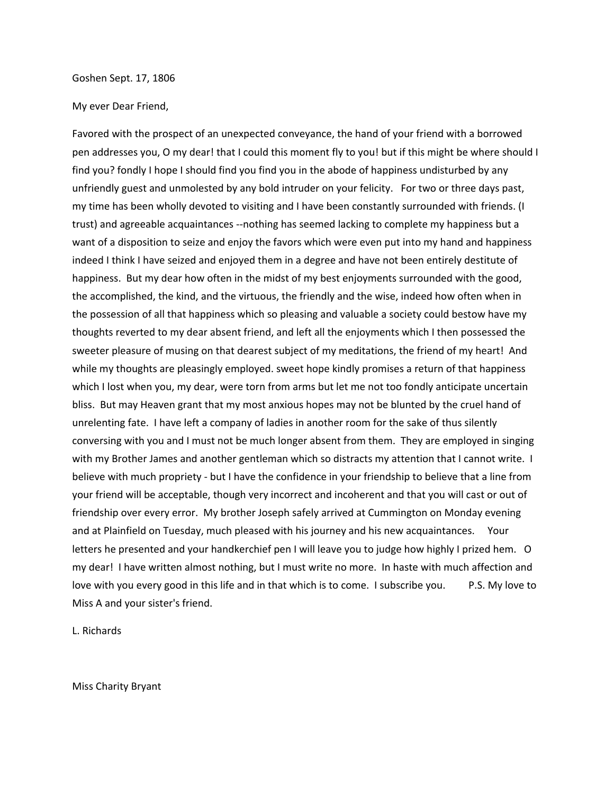## Goshen Sept. 17, 1806

## My ever Dear Friend,

Favored with the prospect of an unexpected conveyance, the hand of your friend with a borrowed pen addresses you, O my dear! that I could this moment fly to you! but if this might be where should I find you? fondly I hope I should find you find you in the abode of happiness undisturbed by any unfriendly guest and unmolested by any bold intruder on your felicity. For two or three days past, my time has been wholly devoted to visiting and I have been constantly surrounded with friends. (I trust) and agreeable acquaintances --nothing has seemed lacking to complete my happiness but a want of a disposition to seize and enjoy the favors which were even put into my hand and happiness indeed I think I have seized and enjoyed them in a degree and have not been entirely destitute of happiness. But my dear how often in the midst of my best enjoyments surrounded with the good, the accomplished, the kind, and the virtuous, the friendly and the wise, indeed how often when in the possession of all that happiness which so pleasing and valuable a society could bestow have my thoughts reverted to my dear absent friend, and left all the enjoyments which I then possessed the sweeter pleasure of musing on that dearest subject of my meditations, the friend of my heart! And while my thoughts are pleasingly employed. sweet hope kindly promises a return of that happiness which I lost when you, my dear, were torn from arms but let me not too fondly anticipate uncertain bliss. But may Heaven grant that my most anxious hopes may not be blunted by the cruel hand of unrelenting fate. I have left a company of ladies in another room for the sake of thus silently conversing with you and I must not be much longer absent from them. They are employed in singing with my Brother James and another gentleman which so distracts my attention that I cannot write. I believe with much propriety - but I have the confidence in your friendship to believe that a line from your friend will be acceptable, though very incorrect and incoherent and that you will cast or out of friendship over every error. My brother Joseph safely arrived at Cummington on Monday evening and at Plainfield on Tuesday, much pleased with his journey and his new acquaintances. Your letters he presented and your handkerchief pen I will leave you to judge how highly I prized hem. O my dear! I have written almost nothing, but I must write no more. In haste with much affection and love with you every good in this life and in that which is to come. I subscribe you. P.S. My love to Miss A and your sister's friend.

L. Richards

Miss Charity Bryant